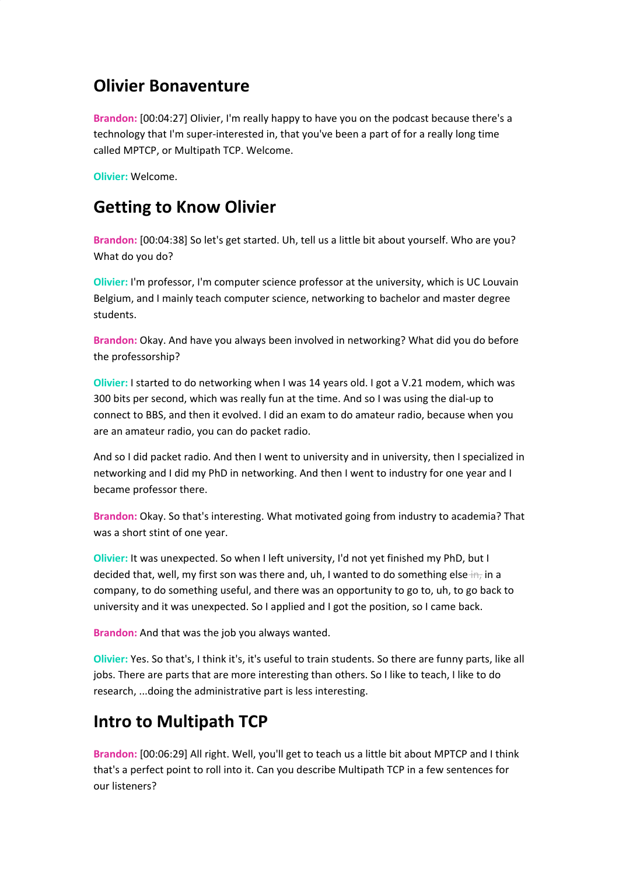#### **Olivier Bonaventure**

**Brandon:** [00:04:27] Olivier, I'm really happy to have you on the podcast because there's a technology that I'm super-interested in, that you've been a part of for a really long time called MPTCP, or Multipath TCP. Welcome.

**Olivier:** Welcome.

#### **Getting to Know Olivier**

**Brandon:** [00:04:38] So let's get started. Uh, tell us a little bit about yourself. Who are you? What do you do?

**Olivier:** I'm professor, I'm computer science professor at the university, which is UC Louvain Belgium, and I mainly teach computer science, networking to bachelor and master degree students.

**Brandon:** Okay. And have you always been involved in networking? What did you do before the professorship?

**Olivier:** I started to do networking when I was 14 years old. I got a V.21 modem, which was 300 bits per second, which was really fun at the time. And so I was using the dial-up to connect to BBS, and then it evolved. I did an exam to do amateur radio, because when you are an amateur radio, you can do packet radio.

And so I did packet radio. And then I went to university and in university, then I specialized in networking and I did my PhD in networking. And then I went to industry for one year and I became professor there.

**Brandon:** Okay. So that's interesting. What motivated going from industry to academia? That was a short stint of one year.

**Olivier:** It was unexpected. So when I left university, I'd not yet finished my PhD, but I decided that, well, my first son was there and, uh, I wanted to do something else  $\pm n_r$  in a company, to do something useful, and there was an opportunity to go to, uh, to go back to university and it was unexpected. So I applied and I got the position, so I came back.

**Brandon:** And that was the job you always wanted.

**Olivier:** Yes. So that's, I think it's, it's useful to train students. So there are funny parts, like all jobs. There are parts that are more interesting than others. So I like to teach, I like to do research, ...doing the administrative part is less interesting.

# **Intro to Multipath TCP**

**Brandon:** [00:06:29] All right. Well, you'll get to teach us a little bit about MPTCP and I think that's a perfect point to roll into it. Can you describe Multipath TCP in a few sentences for our listeners?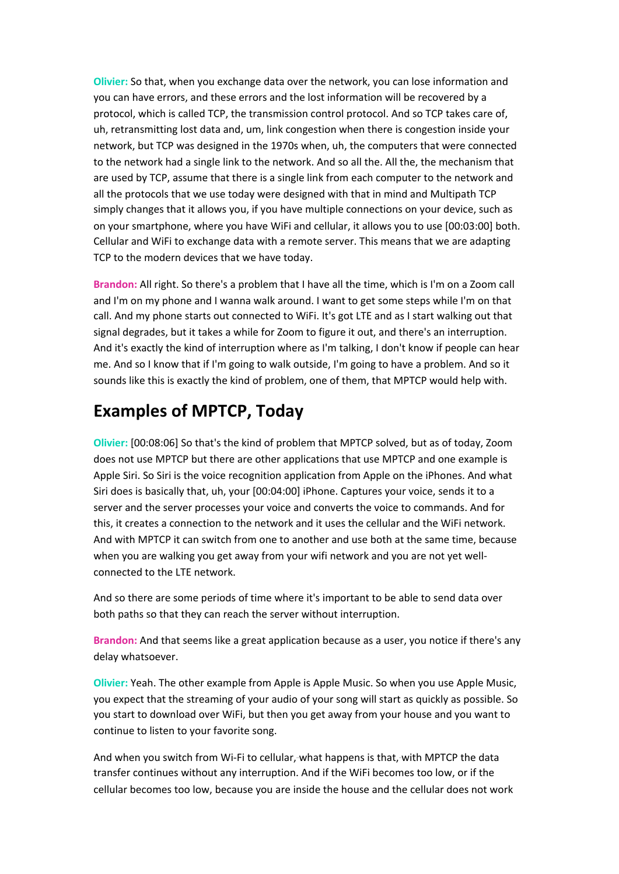**Olivier:** So that, when you exchange data over the network, you can lose information and you can have errors, and these errors and the lost information will be recovered by a protocol, which is called TCP, the transmission control protocol. And so TCP takes care of, uh, retransmitting lost data and, um, link congestion when there is congestion inside your network, but TCP was designed in the 1970s when, uh, the computers that were connected to the network had a single link to the network. And so all the. All the, the mechanism that are used by TCP, assume that there is a single link from each computer to the network and all the protocols that we use today were designed with that in mind and Multipath TCP simply changes that it allows you, if you have multiple connections on your device, such as on your smartphone, where you have WiFi and cellular, it allows you to use [00:03:00] both. Cellular and WiFi to exchange data with a remote server. This means that we are adapting TCP to the modern devices that we have today.

**Brandon:** All right. So there's a problem that I have all the time, which is I'm on a Zoom call and I'm on my phone and I wanna walk around. I want to get some steps while I'm on that call. And my phone starts out connected to WiFi. It's got LTE and as I start walking out that signal degrades, but it takes a while for Zoom to figure it out, and there's an interruption. And it's exactly the kind of interruption where as I'm talking, I don't know if people can hear me. And so I know that if I'm going to walk outside, I'm going to have a problem. And so it sounds like this is exactly the kind of problem, one of them, that MPTCP would help with.

#### **Examples of MPTCP, Today**

**Olivier:** [00:08:06] So that's the kind of problem that MPTCP solved, but as of today, Zoom does not use MPTCP but there are other applications that use MPTCP and one example is Apple Siri. So Siri is the voice recognition application from Apple on the iPhones. And what Siri does is basically that, uh, your [00:04:00] iPhone. Captures your voice, sends it to a server and the server processes your voice and converts the voice to commands. And for this, it creates a connection to the network and it uses the cellular and the WiFi network. And with MPTCP it can switch from one to another and use both at the same time, because when you are walking you get away from your wifi network and you are not yet wellconnected to the LTE network.

And so there are some periods of time where it's important to be able to send data over both paths so that they can reach the server without interruption.

**Brandon:** And that seems like a great application because as a user, you notice if there's any delay whatsoever.

**Olivier:** Yeah. The other example from Apple is Apple Music. So when you use Apple Music, you expect that the streaming of your audio of your song will start as quickly as possible. So you start to download over WiFi, but then you get away from your house and you want to continue to listen to your favorite song.

And when you switch from Wi-Fi to cellular,-what happens is that,-with MPTCP the data transfer continues without any interruption. And if the WiFi becomes too low, or if the cellular becomes too low, because you are inside the house and the cellular does not work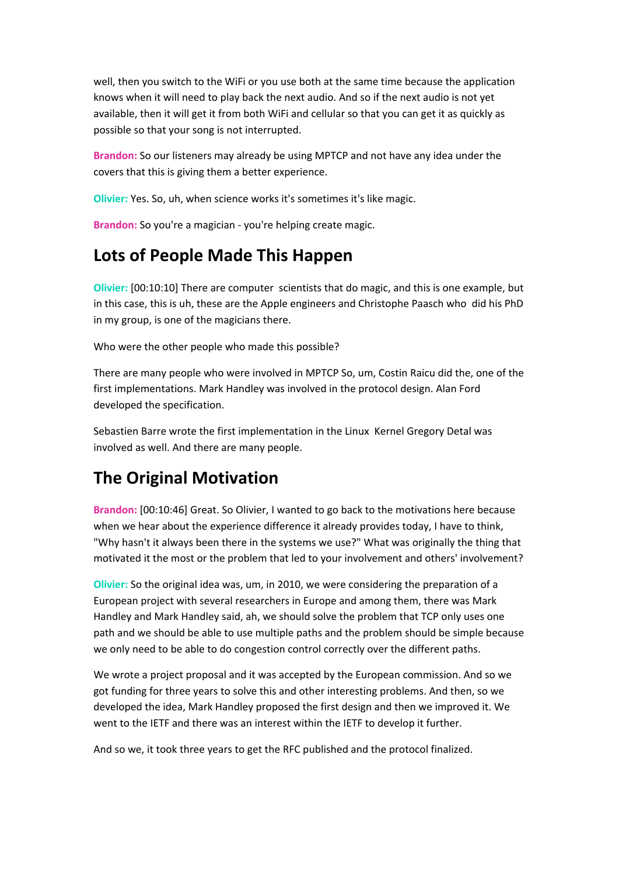well, then you switch to the WiFi or you use both at the same time because the application knows when it will need to play back the next audio. And so if the next audio is not yet available, then it will get it from both WiFi and cellular so that you can get it as quickly as possible so that your song is not interrupted.

**Brandon:** So our listeners may already be using MPTCP and not have any idea under the covers that this is giving them a better experience.

**Olivier:** Yes. So, uh, when science works it's sometimes it's like magic.

**Brandon:** So you're a magician - you're helping create magic.

### **Lots of People Made This Happen**

**Olivier:** [00:10:10] There are computer scientists that do magic, and this is one example, but in this case, this is uh, these are the Apple engineers and Christophe Paasch who did his PhD in my group, is one of the magicians there.

Who were the other people who made this possible?

There are many people who were involved in MPTCP So, um, Costin Raicu did the, one of the first implementations. Mark Handley was involved in the protocol design. Alan Ford developed the specification.

Sebastien Barre wrote the first implementation in the Linux Kernel Gregory Detal was involved as well. And there are many people.

# **The Original Motivation**

**Brandon:** [00:10:46] Great. So Olivier, I wanted to go back to the motivations here because when we hear about the experience difference it already provides today, I have to think, "Why hasn't it always been there in the systems we use?" What was originally the thing that motivated it the most or the problem that led to your involvement and others' involvement?

**Olivier:** So the original idea was, um, in 2010, we were considering the preparation of a European project with several researchers in Europe and among them, there was Mark Handley and Mark Handley said, ah, we should solve the problem that TCP only uses one path and we should be able to use multiple paths and the problem should be simple because we only need to be able to do congestion control correctly over the different paths.

We wrote a project proposal and it was accepted by the European commission. And so we got funding for three years to solve this and other interesting problems. And then, so we developed the idea, Mark Handley proposed the first design and then we improved it. We went to the IETF and there was an interest within the IETF to develop it further.

And so we, it took three years to get the RFC published and the protocol finalized.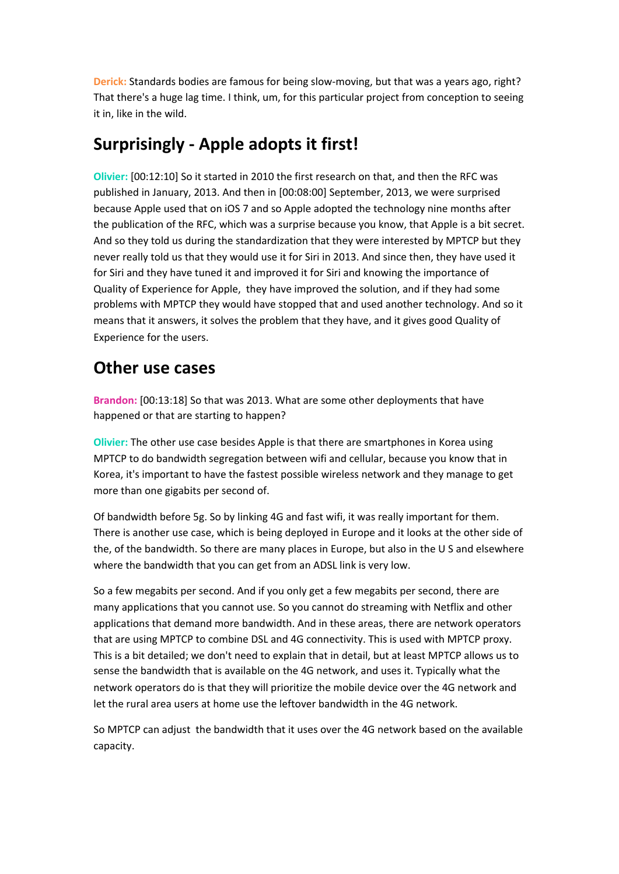**Derick:** Standards bodies are famous for being slow-moving, but that was a years ago, right? That there's a huge lag time. I think, um, for this particular project from conception to seeing it in, like in the wild.

### **Surprisingly - Apple adopts it first!**

**Olivier:** [00:12:10] So it started in 2010 the first research on that, and then the RFC was published in January, 2013. And then in [00:08:00] September, 2013, we were surprised because Apple used that on iOS 7 and so Apple adopted the technology nine months after the publication of the RFC, which was a surprise because you know, that Apple is a bit secret. And so they told us during the standardization that they were interested by MPTCP but they never really told us that they would use it for Siri in 2013. And since then, they have used it for Siri and they have tuned it and improved it for Siri and knowing the importance of Quality of Experience for Apple, they have improved the solution, and if they had some problems with MPTCP they would have stopped that and used another technology. And so it means that it answers, it solves the problem that they have, and it gives good Quality of Experience for the users.

#### **Other use cases**

**Brandon:** [00:13:18] So that was 2013. What are some other deployments that have happened or that are starting to happen?

**Olivier:** The other use case besides Apple is that there are smartphones in Korea using MPTCP to do bandwidth segregation between wifi and cellular, because you know that in Korea, it's important to have the fastest possible wireless network and they manage to get more than one gigabits per second of.

Of bandwidth before 5g. So by linking 4G and fast wifi, it was really important for them. There is another use case, which is being deployed in Europe and it looks at the other side of the, of the bandwidth. So there are many places in Europe, but also in the U S and elsewhere where the bandwidth that you can get from an ADSL link is very low.

So a few megabits per second. And if you only get a few megabits per second, there are many applications that you cannot use. So you cannot do streaming with Netflix and other applications that demand more bandwidth. And in these areas, there are network operators that are using MPTCP to combine DSL and 4G connectivity. This is used with MPTCP proxy. This is a bit detailed; we don't need to explain that in detail, but at least MPTCP allows us to sense the bandwidth that is available on the 4G network, and uses it. Typically what the network operators do is that they will prioritize the mobile device over the 4G network and let the rural area users at home use the leftover bandwidth in the 4G network.

So MPTCP can adjust the bandwidth that it uses over the 4G network based on the available capacity.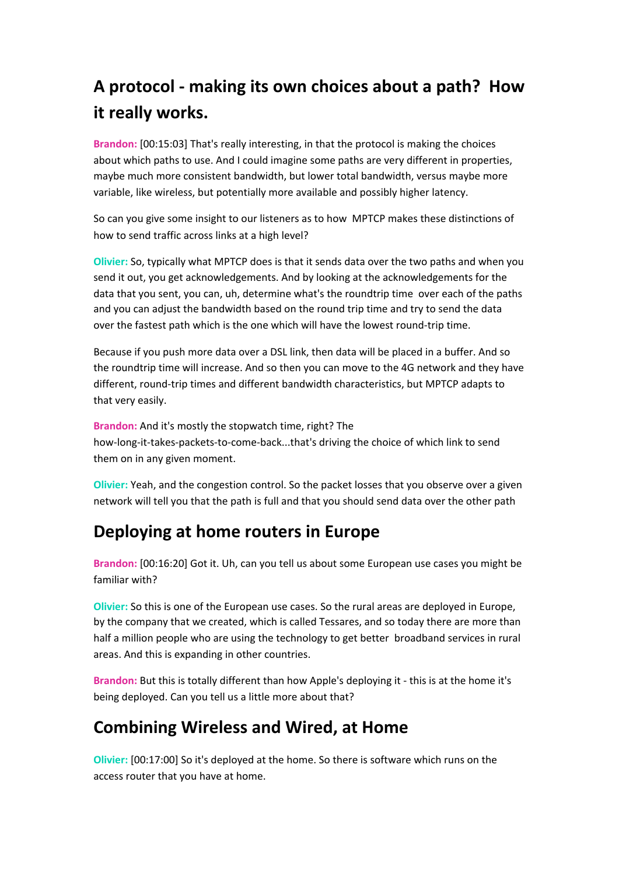# **A protocol - making its own choices about a path? How it really works.**

**Brandon:** [00:15:03] That's really interesting, in that the protocol is making the choices about which paths to use. And I could imagine some paths are very different in properties, maybe much more consistent bandwidth, but lower total bandwidth, versus maybe more variable, like wireless, but potentially more available and possibly higher latency.

So can you give some insight to our listeners as to how MPTCP makes these distinctions of how to send traffic across links at a high level?

**Olivier:** So, typically what MPTCP does is that it sends data over the two paths and when you send it out, you get acknowledgements. And by looking at the acknowledgements for the data that you sent, you can, uh, determine what's the roundtrip time over each of the paths and you can adjust the bandwidth based on the round trip time and try to send the data over the fastest path which is the one which will have the lowest round-trip time.

Because if you push more data over a DSL link, then data will be placed in a buffer. And so the roundtrip time will increase. And so then you can move to the 4G network and they have different, round-trip times and different bandwidth characteristics, but MPTCP adapts to that very easily.

**Brandon:** And it's mostly the stopwatch time, right? The how-long-it-takes-packets-to-come-back...that's driving the choice of which link to send them on in any given moment.

**Olivier:** Yeah, and the congestion control. So the packet losses that you observe over a given network will tell you that the path is full and that you should send data over the other path

### **Deploying at home routers in Europe**

**Brandon:** [00:16:20] Got it. Uh, can you tell us about some European use cases you might be familiar with?

**Olivier:** So this is one of the European use cases. So the rural areas are deployed in Europe, by the company that we created, which is called Tessares, and so today there are more than half a million people who are using the technology to get better broadband services in rural areas. And this is expanding in other countries.

**Brandon:** But this is totally different than how Apple's deploying it - this is at the home it's being deployed. Can you tell us a little more about that?

# **Combining Wireless and Wired, at Home**

**Olivier:** [00:17:00] So it's deployed at the home. So there is software which runs on the access router that you have at home.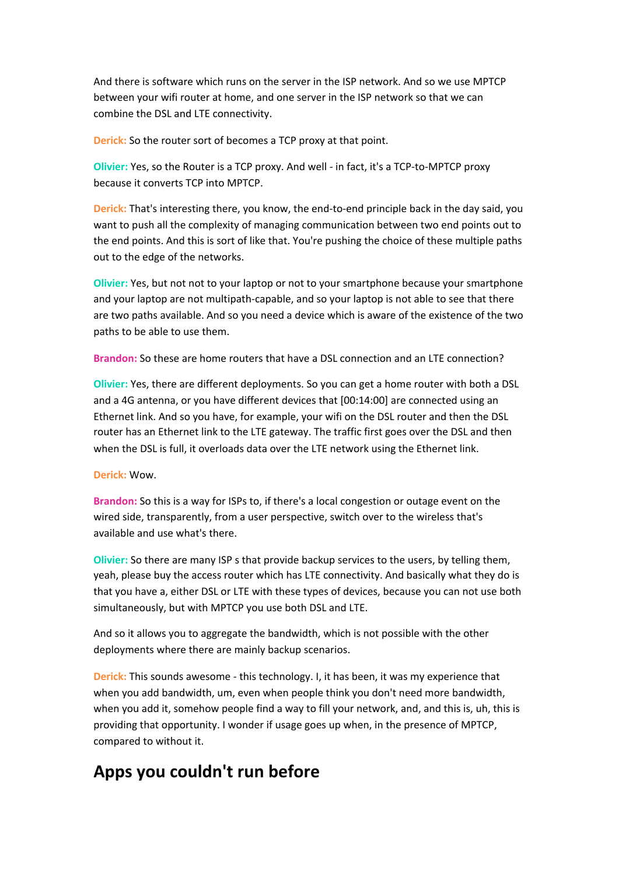And there is software which runs on the server in the ISP network. And so we use MPTCP between your wifi router at home, and one server in the ISP network so that we can combine the DSL and LTE connectivity.

**Derick:** So the router sort of becomes a TCP proxy at that point.

**Olivier:** Yes, so the Router is a TCP proxy. And well - in fact, it's a TCP-to-MPTCP proxy because it converts TCP into MPTCP.

**Derick:** That's interesting there, you know, the end-to-end principle back in the day said, you want to push all the complexity of managing communication between two end points out to the end points. And this is sort of like that. You're pushing the choice of these multiple paths out to the edge of the networks.

**Olivier:** Yes, but not not to your laptop or not to your smartphone because your smartphone and your laptop are not multipath-capable, and so your laptop is not able to see that there are two paths available. And so you need a device which is aware of the existence of the two paths to be able to use them.

**Brandon:** So these are home routers that have a DSL connection and an LTE connection?

**Olivier:** Yes, there are different deployments. So you can get a home router with both a DSL and a 4G antenna, or you have different devices that [00:14:00] are connected using an Ethernet link. And so you have, for example, your wifi on the DSL router and then the DSL router has an Ethernet link to the LTE gateway. The traffic first goes over the DSL and then when the DSL is full, it overloads data over the LTE network using the Ethernet link.

**Derick:** Wow.

**Brandon:** So this is a way for ISPs to, if there's a local congestion or outage event on the wired side, transparently, from a user perspective, switch over to the wireless that's available and use what's there.

**Olivier:** So there are many ISP s that provide backup services to the users, by telling them, yeah, please buy the access router which has LTE connectivity. And basically what they do is that you have a, either DSL or LTE with these types of devices, because you can not use both simultaneously, but with MPTCP you use both DSL and LTE.

And so it allows you to aggregate the bandwidth, which is not possible with the other deployments where there are mainly backup scenarios.

**Derick:** This sounds awesome - this technology. I, it has been, it was my experience that when you add bandwidth, um, even when people think you don't need more bandwidth, when you add it, somehow people find a way to fill your network, and, and this is, uh, this is providing that opportunity. I wonder if usage goes up when, in the presence of MPTCP, compared to without it.

### **Apps you couldn't run before**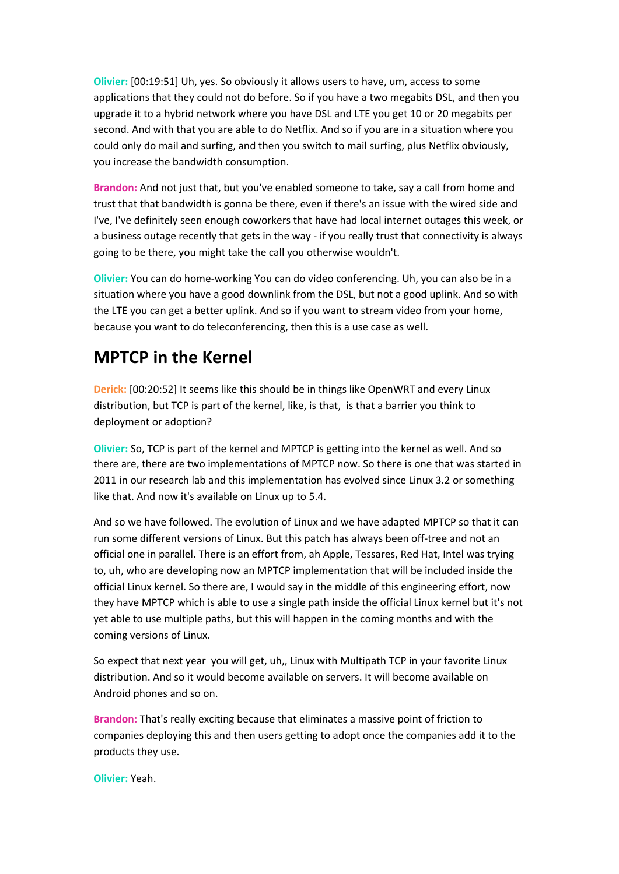**Olivier:** [00:19:51] Uh, yes. So obviously it allows users to have, um, access to some applications that they could not do before. So if you have a two megabits DSL, and then you upgrade it to a hybrid network where you have DSL and LTE you get 10 or 20 megabits per second. And with that you are able to do Netflix. And so if you are in a situation where you could only do mail and surfing, and then you switch to mail surfing, plus Netflix obviously, you increase the bandwidth consumption.

**Brandon:** And not just that, but you've enabled someone to take, say a call from home and trust that that bandwidth is gonna be there, even if there's an issue with the wired side and I've, I've definitely seen enough coworkers that have had local internet outages this week, or a business outage recently that gets in the way - if you really trust that connectivity is always going to be there, you might take the call you otherwise wouldn't.

**Olivier:** You can do home-working You can do video conferencing. Uh, you can also be in a situation where you have a good downlink from the DSL, but not a good uplink. And so with the LTE you can get a better uplink. And so if you want to stream video from your home, because you want to do teleconferencing, then this is a use case as well.

### **MPTCP in the Kernel**

**Derick:** [00:20:52] It seems like this should be in things like OpenWRT and every Linux distribution, but TCP is part of the kernel, like, is that, is that a barrier you think to deployment or adoption?

**Olivier:** So, TCP is part of the kernel and MPTCP is getting into the kernel as well. And so there are, there are two implementations of MPTCP now. So there is one that was started in 2011 in our research lab and this implementation has evolved since Linux 3.2 or something like that. And now it's available on Linux up to 5.4.

And so we have followed. The evolution of Linux and we have adapted MPTCP so that it can run some different versions of Linux. But this patch has always been off-tree and not an official one in parallel. There is an effort from, ah Apple, Tessares, Red Hat, Intel was trying to, uh, who are developing now an MPTCP implementation that will be included inside the official Linux kernel. So there are, I would say in the middle of this engineering effort, now they have MPTCP which is able to use a single path inside the official Linux kernel but it's not yet able to use multiple paths, but this will happen in the coming months and with the coming versions of Linux.

So expect that next year you will get, uh,, Linux with Multipath TCP in your favorite Linux distribution. And so it would become available on servers. It will become available on Android phones and so on.

**Brandon:** That's really exciting because that eliminates a massive point of friction to companies deploying this and then users getting to adopt once the companies add it to the products they use.

**Olivier:** Yeah.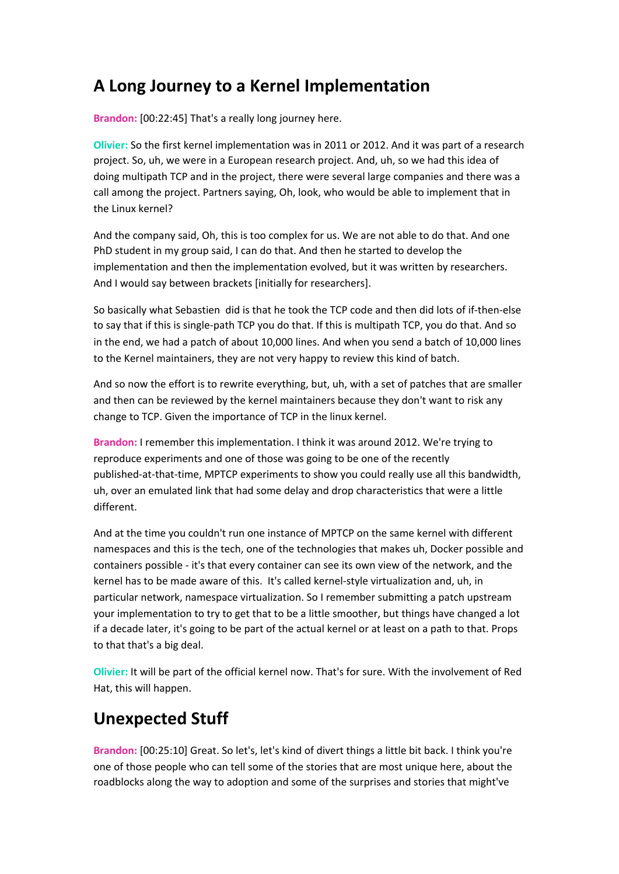### **A Long Journey to a Kernel Implementation**

**Brandon:** [00:22:45] That's a really long journey here.

**Olivier:** So the first kernel implementation was in 2011 or 2012. And it was part of a research project. So, uh, we were in a European research project. And, uh, so we had this idea of doing multipath TCP and in the project, there were several large companies and there was a call among the project. Partners saying, Oh, look, who would be able to implement that in the Linux kernel?

And the company said, Oh, this is too complex for us. We are not able to do that. And one PhD student in my group said, I can do that. And then he started to develop the implementation and then the implementation evolved, but it was written by researchers. And I would say between brackets [initially for researchers].

So basically what Sebastien did is that he took the TCP code and then did lots of if-then-else to say that if this is single-path TCP you do that. If this is multipath TCP, you do that. And so in the end, we had a patch of about 10,000 lines. And when you send a batch of 10,000 lines to the Kernel maintainers, they are not very happy to review this kind of batch.

And so now the effort is to rewrite everything, but, uh, with a set of patches that are smaller and then can be reviewed by the kernel maintainers because they don't want to risk any change to TCP. Given the importance of TCP in the linux kernel.

**Brandon:** I remember this implementation. I think it was around 2012. We're trying to reproduce experiments and one of those was going to be one of the recently published-at-that-time, MPTCP experiments to show you could really use all this bandwidth, uh, over an emulated link that had some delay and drop characteristics that were a little different.

And at the time you couldn't run one instance of MPTCP on the same kernel with different namespaces and this is the tech, one of the technologies that makes uh, Docker possible and containers possible - it's that every container can see its own view of the network, and the kernel has to be made aware of this. It's called kernel-style virtualization and, uh, in particular network, namespace virtualization. So I remember submitting a patch upstream your implementation to try to get that to be a little smoother, but things have changed a lot if a decade later, it's going to be part of the actual kernel or at least on a path to that. Props to that that's a big deal.

**Olivier:** It will be part of the official kernel now. That's for sure. With the involvement of Red Hat, this will happen.

### **Unexpected Stuff**

**Brandon:** [00:25:10] Great. So let's, let's kind of divert things a little bit back. I think you're one of those people who can tell some of the stories that are most unique here, about the roadblocks along the way to adoption and some of the surprises and stories that might've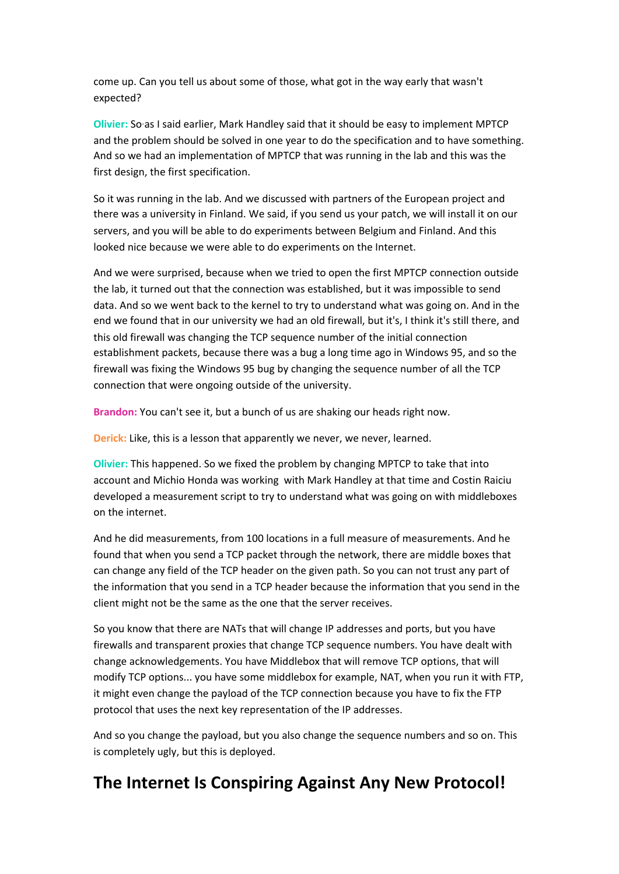come up. Can you tell us about some of those, what got in the way early that wasn't expected?

**Olivier:** So as I said earlier, Mark Handley said that it should be easy to implement MPTCP and the problem should be solved in one year to do the specification and to have something. And so we had an implementation of MPTCP that was running in the lab and this was the first design, the first specification.

So it was running in the lab. And we discussed with partners of the European project and there was a university in Finland. We said, if you send us your patch, we will install it on our servers, and you will be able to do experiments between Belgium and Finland. And this looked nice because we were able to do experiments on the Internet.

And we were surprised, because when we tried to open the first MPTCP connection outside the lab, it turned out that the connection was established, but it was impossible to send data. And so we went back to the kernel to try to understand what was going on. And in the end we found that in our university we had an old firewall, but it's, I think it's still there, and this old firewall was changing the TCP sequence number of the initial connection establishment packets, because there was a bug a long time ago in Windows 95, and so the firewall was fixing the Windows 95 bug by changing the sequence number of all the TCP connection that were ongoing outside of the university.

**Brandon:** You can't see it, but a bunch of us are shaking our heads right now.

**Derick:** Like, this is a lesson that apparently we never, we never, learned.

**Olivier:** This happened. So we fixed the problem by changing MPTCP to take that into account and Michio Honda was working with Mark Handley at that time and Costin Raiciu developed a measurement script to try to understand what was going on with middleboxes on the internet.

And he did measurements, from 100 locations in a full measure of measurements. And he found that when you send a TCP packet through the network, there are middle boxes that can change any field of the TCP header on the given path. So you can not trust any part of the information that you send in a TCP header because the information that you send in the client might not be the same as the one that the server receives.

So you know that there are NATs that will change IP addresses and ports, but you have firewalls and transparent proxies that change TCP sequence numbers. You have dealt with change acknowledgements. You have Middlebox that will remove TCP options, that will modify TCP options... you have some middlebox for example, NAT, when you run it with FTP, it might even change the payload of the TCP connection because you have to fix the FTP protocol that uses the next key representation of the IP addresses.

And so you change the payload, but you also change the sequence numbers and so on. This is completely ugly, but this is deployed.

#### **The Internet Is Conspiring Against Any New Protocol!**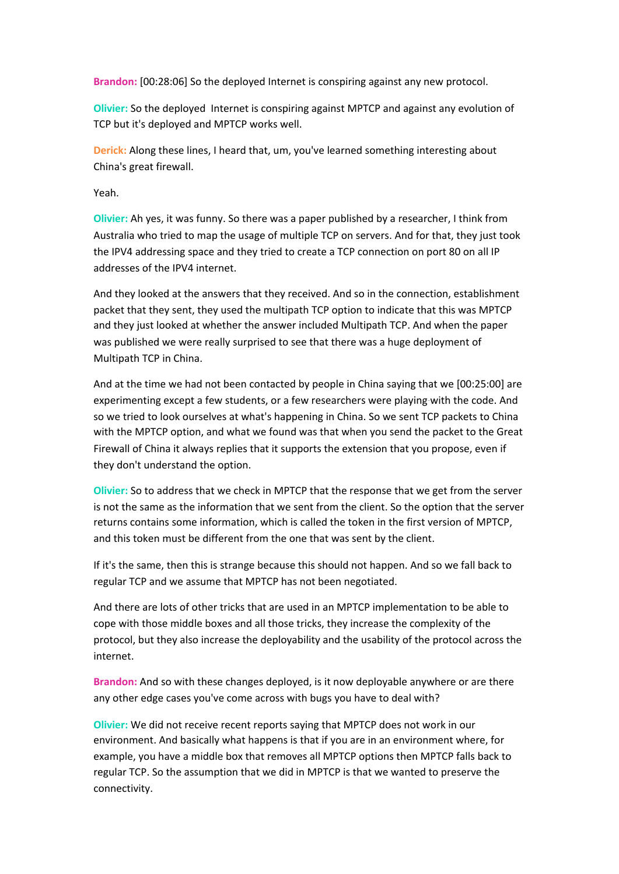**Brandon:** [00:28:06] So the deployed Internet is conspiring against any new protocol.

**Olivier:** So the deployed Internet is conspiring against MPTCP and against any evolution of TCP but it's deployed and MPTCP works well.

**Derick:** Along these lines, I heard that, um, you've learned something interesting about China's great firewall.

Yeah.

**Olivier:** Ah yes, it was funny. So there was a paper published by a researcher, I think from Australia who tried to map the usage of multiple TCP on servers. And for that, they just took the IPV4 addressing space and they tried to create a TCP connection on port 80 on all IP addresses of the IPV4 internet.

And they looked at the answers that they received. And so in the connection, establishment packet that they sent, they used the multipath TCP option to indicate that this was MPTCP and they just looked at whether the answer included Multipath TCP. And when the paper was published we were really surprised to see that there was a huge deployment of Multipath TCP in China.

And at the time we had not been contacted by people in China saying that we [00:25:00] are experimenting except a few students, or a few researchers were playing with the code. And so we tried to look ourselves at what's happening in China. So we sent TCP packets to China with the MPTCP option, and what we found was that when you send the packet to the Great Firewall of China it always replies that it supports the extension that you propose, even if they don't understand the option.

**Olivier:** So to address that we check in MPTCP that the response that we get from the server is not the same as the information that we sent from the client. So the option that the server returns contains some information, which is called the token in the first version of MPTCP, and this token must be different from the one that was sent by the client.

If it's the same, then this is strange because this should not happen. And so we fall back to regular TCP and we assume that MPTCP has not been negotiated.

And there are lots of other tricks that are used in an MPTCP implementation to be able to cope with those middle boxes and all those tricks, they increase the complexity of the protocol, but they also increase the deployability and the usability of the protocol across the internet.

**Brandon:** And so with these changes deployed, is it now deployable anywhere or are there any other edge cases you've come across with bugs you have to deal with?

**Olivier:** We did not receive recent reports saying that MPTCP does not work in our environment. And basically what happens is that if you are in an environment where, for example, you have a middle box that removes all MPTCP options then MPTCP falls back to regular TCP. So the assumption that we did in MPTCP is that we wanted to preserve the connectivity.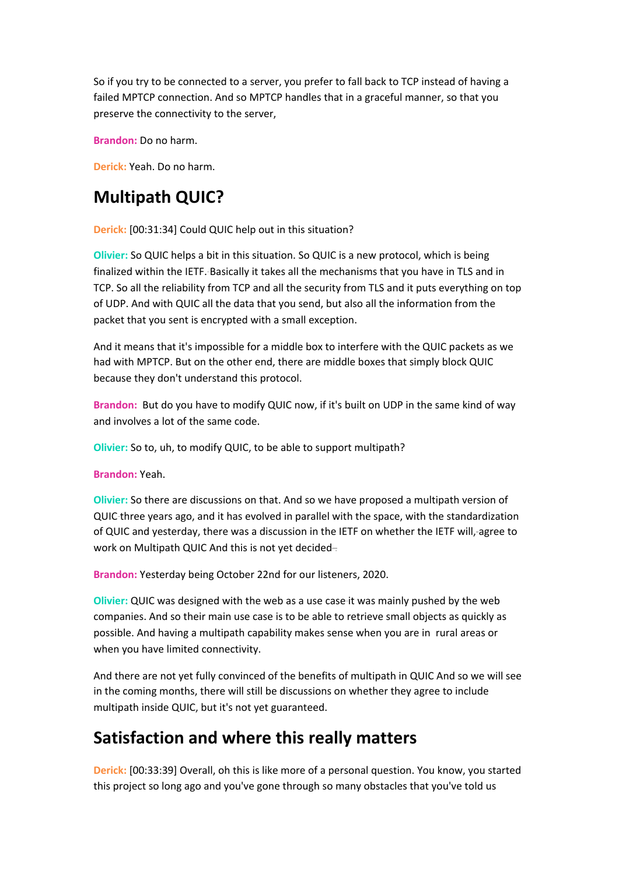So if you try to be connected to a server, you prefer to fall back to TCP instead of having a failed MPTCP connection. And so MPTCP handles that in a graceful manner, so that you preserve the connectivity to the server,

**Brandon:** Do no harm.

**Derick:** Yeah. Do no harm.

### **Multipath QUIC?**

**Derick:** [00:31:34] Could QUIC help out in this situation?

**Olivier:** So QUIC helps a bit in this situation. So QUIC is a new protocol, which is being finalized within the IETF. Basically it takes all the mechanisms that you have in TLS and in TCP. So all the reliability from TCP and all the security from TLS and it puts everything on top of UDP. And with QUIC all the data that you send, but also all the information from the packet that you sent is encrypted with a small exception.

And it means that it's impossible for a middle box to interfere with the QUIC packets as we had with MPTCP. But on the other end, there are middle boxes that simply block QUIC because they don't understand this protocol.

**Brandon:** But do you have to modify QUIC now, if it's built on UDP in the same kind of way and involves a lot of the same code.

**Olivier:** So to, uh, to modify QUIC, to be able to support multipath?

**Brandon:** Yeah.

**Olivier:** So there are discussions on that. And so we have proposed a multipath version of QUIC three years ago, and it has evolved in parallel with the space, with the standardization of QUIC and yesterday, there was a discussion in the IETF on whether the IETF will, agree to work on Multipath QUIC And this is not yet decided-

**Brandon:** Yesterday being October 22nd for our listeners, 2020.

**Olivier:** QUIC was designed with the web as a use case it was mainly pushed by the web companies. And so their main use case is to be able to retrieve small objects as quickly as possible. And having a multipath capability makes sense when you are in rural areas or when you have limited connectivity.

And there are not yet fully convinced of the benefits of multipath in QUIC And so we will see in the coming months, there will still be discussions on whether they agree to include multipath inside QUIC, but it's not yet guaranteed.

### **Satisfaction and where this really matters**

**Derick:** [00:33:39] Overall, oh this is like more of a personal question. You know, you started this project so long ago and you've gone through so many obstacles that you've told us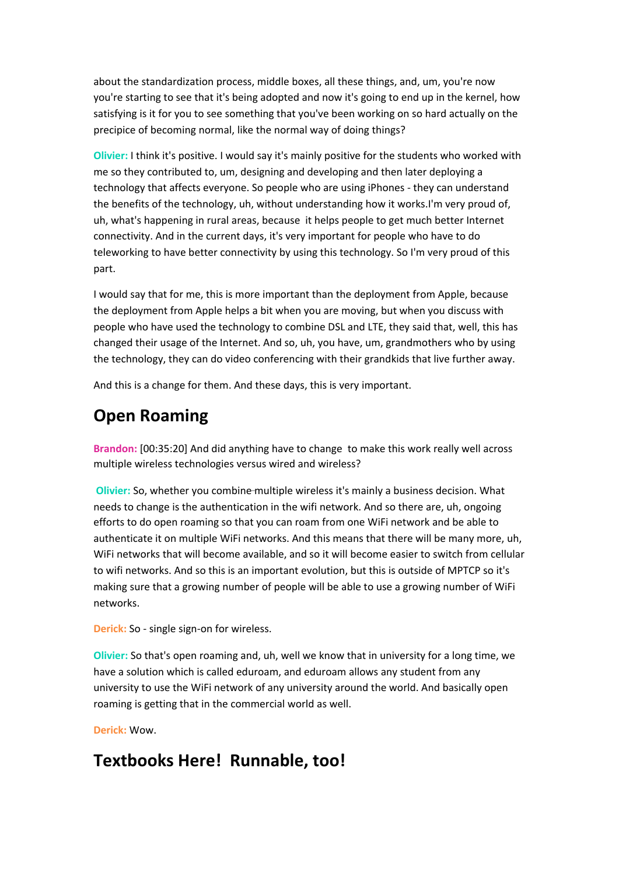about the standardization process, middle boxes, all these things, and, um, you're now you're starting to see that it's being adopted and now it's going to end up in the kernel, how satisfying is it for you to see something that you've been working on so hard actually on the precipice of becoming normal, like the normal way of doing things?

**Olivier:** I think it's positive. I would say it's mainly positive for the students who worked with me so they contributed to, um, designing and developing and then later deploying a technology that affects everyone. So people who are using iPhones - they can understand the benefits of the technology, uh, without understanding how it works.I'm very proud of, uh, what's happening in rural areas, because it helps people to get much better Internet connectivity. And in the current days, it's very important for people who have to do teleworking to have better connectivity by using this technology. So I'm very proud of this part.

I would say that for me, this is more important than the deployment from Apple, because the deployment from Apple helps a bit when you are moving, but when you discuss with people who have used the technology to combine DSL and LTE, they said that, well, this has changed their usage of the Internet. And so, uh, you have, um, grandmothers who by using the technology, they can do video conferencing with their grandkids that live further away.

And this is a change for them. And these days, this is very important.

#### **Open Roaming**

**Brandon:** [00:35:20] And did anything have to change to make this work really well across multiple wireless technologies versus wired and wireless?

**Olivier:** So, whether you combine multiple wireless it's mainly a business decision. What needs to change is the authentication in the wifi network. And so there are, uh, ongoing efforts to do open roaming so that you can roam from one WiFi network and be able to authenticate it on multiple WiFi networks. And this means that there will be many more, uh, WiFi networks that will become available, and so it will become easier to switch from cellular to wifi networks. And so this is an important evolution, but this is outside of MPTCP so it's making sure that a growing number of people will be able to use a growing number of WiFi networks.

**Derick:** So - single sign-on for wireless.

**Olivier:** So that's open roaming and, uh, well we know that in university for a long time, we have a solution which is called eduroam, and eduroam allows any student from any university to use the WiFi network of any university around the world. And basically open roaming is getting that in the commercial world as well.

**Derick:** Wow.

#### **Textbooks Here! Runnable, too!**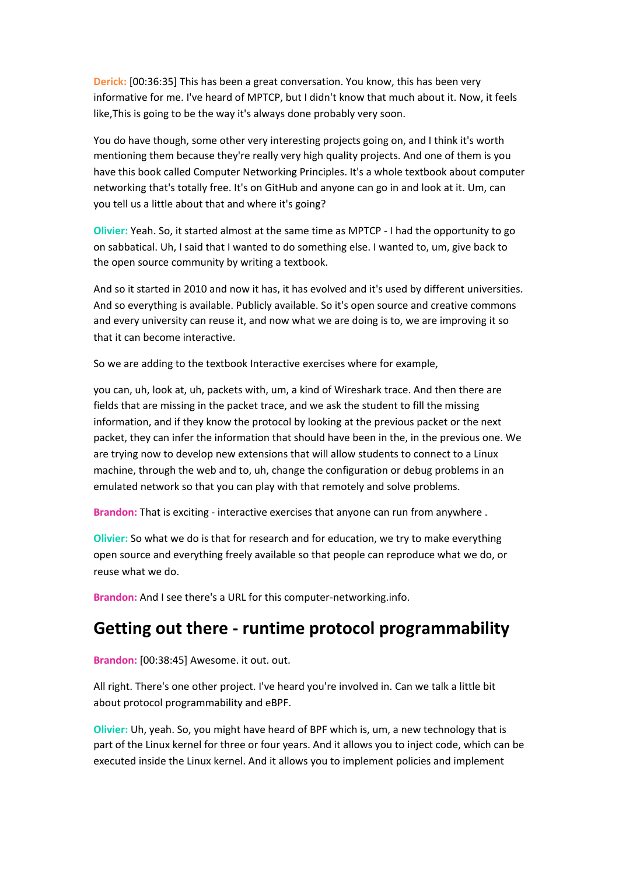**Derick:** [00:36:35] This has been a great conversation. You know, this has been very informative for me. I've heard of MPTCP, but I didn't know that much about it. Now, it feels like,This is going to be the way it's always done probably very soon.

You do have though, some other very interesting projects going on, and I think it's worth mentioning them because they're really very high quality projects. And one of them is you have this book called Computer Networking Principles. It's a whole textbook about computer networking that's totally free. It's on GitHub and anyone can go in and look at it. Um, can you tell us a little about that and where it's going?

**Olivier:** Yeah. So, it started almost at the same time as MPTCP - I had the opportunity to go on sabbatical. Uh, I said that I wanted to do something else. I wanted to, um, give back to the open source community by writing a textbook.

And so it started in 2010 and now it has, it has evolved and it's used by different universities. And so everything is available. Publicly available. So it's open source and creative commons and every university can reuse it, and now what we are doing is to, we are improving it so that it can become interactive.

So we are adding to the textbook Interactive exercises where for example,

you can, uh, look at, uh, packets with, um, a kind of Wireshark trace. And then there are fields that are missing in the packet trace, and we ask the student to fill the missing information, and if they know the protocol by looking at the previous packet or the next packet, they can infer the information that should have been in the, in the previous one. We are trying now to develop new extensions that will allow students to connect to a Linux machine, through the web and to, uh, change the configuration or debug problems in an emulated network so that you can play with that remotely and solve problems.

**Brandon:** That is exciting - interactive exercises that anyone can run from anywhere .

**Olivier:** So what we do is that for research and for education, we try to make everything open source and everything freely available so that people can reproduce what we do, or reuse what we do.

**Brandon:** And I see there's a URL for this computer-networking.info.

#### **Getting out there - runtime protocol programmability**

**Brandon:** [00:38:45] Awesome. it out. out.

All right. There's one other project. I've heard you're involved in. Can we talk a little bit about protocol programmability and eBPF.

**Olivier:** Uh, yeah. So, you might have heard of BPF which is, um, a new technology that is part of the Linux kernel for three or four years. And it allows you to inject code, which can be executed inside the Linux kernel. And it allows you to implement policies and implement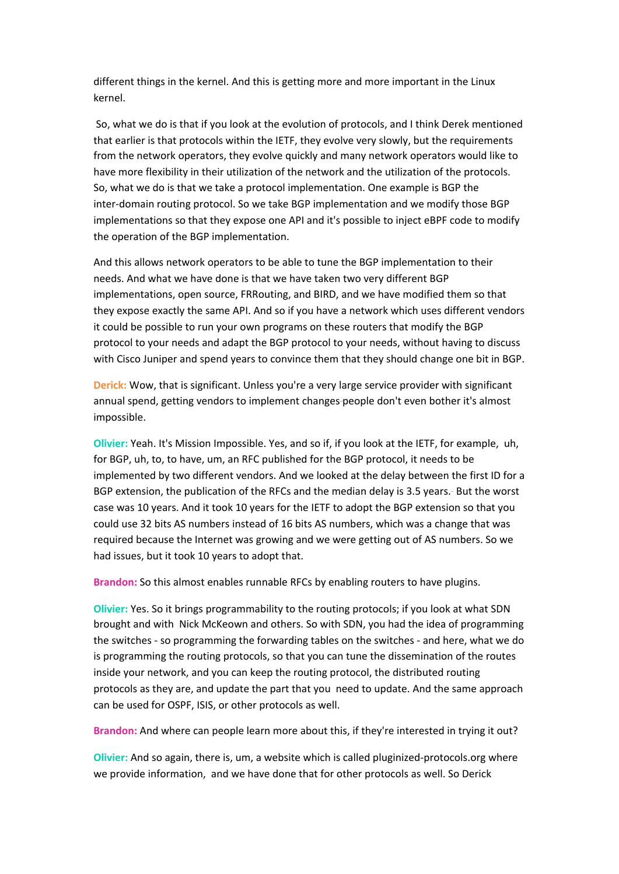different things in the kernel. And this is getting more and more important in the Linux kernel.

So, what we do is that if you look at the evolution of protocols, and I think Derek mentioned that earlier is that protocols within the IETF, they evolve very slowly, but the requirements from the network operators, they evolve quickly and many network operators would like to have more flexibility in their utilization of the network and the utilization of the protocols. So, what we do is that we take a protocol implementation. One example is BGP the inter-domain routing protocol. So we take BGP implementation and we modify those BGP implementations so that they expose one API and it's possible to inject eBPF code to modify the operation of the BGP implementation.

And this allows network operators to be able to tune the BGP implementation to their needs. And what we have done is that we have taken two very different BGP implementations, open source, FRRouting, and BIRD, and we have modified them so that they expose exactly the same API. And so if you have a network which uses different vendors it could be possible to run your own programs on these routers that modify the BGP protocol to your needs and adapt the BGP protocol to your needs, without having to discuss with Cisco Juniper and spend years to convince them that they should change one bit in BGP.

**Derick:** Wow, that is significant. Unless you're a very large service provider with significant annual spend, getting vendors to implement changes people don't even bother it's almost impossible.

**Olivier:** Yeah. It's Mission Impossible. Yes, and so if, if you look at the IETF, for example, uh, for BGP, uh, to, to have, um, an RFC published for the BGP protocol, it needs to be implemented by two different vendors. And we looked at the delay between the first ID for a BGP extension, the publication of the RFCs and the median delay is 3.5 years. But the worst case was 10 years. And it took 10 years for the IETF to adopt the BGP extension so that you could use 32 bits AS numbers instead of 16 bits AS numbers, which was a change that was required because the Internet was growing and we were getting out of AS numbers. So we had issues, but it took 10 years to adopt that.

**Brandon:** So this almost enables runnable RFCs by enabling routers to have plugins.

**Olivier:** Yes. So it brings programmability to the routing protocols; if you look at what SDN brought and with Nick McKeown and others. So with SDN, you had the idea of programming the switches - so programming the forwarding tables on the switches - and here, what we do is programming the routing protocols, so that you can tune the dissemination of the routes inside your network, and you can keep the routing protocol, the distributed routing protocols as they are, and update the part that you need to update. And the same approach can be used for OSPF, ISIS, or other protocols as well.

**Brandon:** And where can people learn more about this, if they're interested in trying it out?

**Olivier:** And so again, there is, um, a website which is called pluginized-protocols.org where we provide information, and we have done that for other protocols as well. So Derick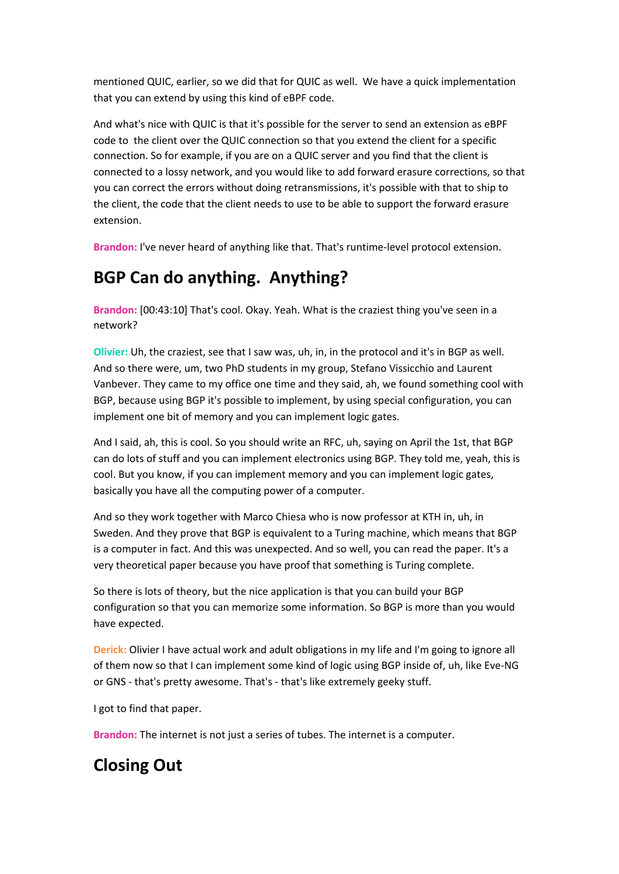mentioned QUIC, earlier, so we did that for QUIC as well. We have a quick implementation that you can extend by using this kind of eBPF code.

And what's nice with QUIC is that it's possible for the server to send an extension as eBPF code to the client over the QUIC connection so that you extend the client for a specific connection. So for example, if you are on a QUIC server and you find that the client is connected to a lossy network, and you would like to add forward erasure corrections, so that you can correct the errors without doing retransmissions, it's possible with that to ship to the client, the code that the client needs to use to be able to support the forward erasure extension.

**Brandon:** I've never heard of anything like that. That's runtime-level protocol extension.

# **BGP Can do anything. Anything?**

**Brandon:** [00:43:10] That's cool. Okay. Yeah. What is the craziest thing you've seen in a network?

**Olivier:** Uh, the craziest, see that I saw was, uh, in, in the protocol and it's in BGP as well. And so there were, um, two PhD students in my group, Stefano Vissicchio and Laurent Vanbever. They came to my office one time and they said, ah, we found something cool with BGP, because using BGP it's possible to implement, by using special configuration, you can implement one bit of memory and you can implement logic gates.

And I said, ah, this is cool. So you should write an RFC, uh, saying on April the 1st, that BGP can do lots of stuff and you can implement electronics using BGP. They told me, yeah, this is cool. But you know, if you can implement memory and you can implement logic gates, basically you have all the computing power of a computer.

And so they work together with Marco Chiesa who is now professor at KTH in, uh, in Sweden. And they prove that BGP is equivalent to a Turing machine, which means that BGP is a computer in fact. And this was unexpected. And so well, you can read the paper. It's a very theoretical paper because you have proof that something is Turing complete.

So there is lots of theory, but the nice application is that you can build your BGP configuration so that you can memorize some information. So BGP is more than you would have expected.

**Derick:** Olivier I have actual work and adult obligations in my life and I'm going to ignore all of them now so that I can implement some kind of logic using BGP inside of, uh, like Eve-NG or GNS - that's pretty awesome. That's - that's like extremely geeky stuff.

I got to find that paper.

**Brandon:** The internet is not just a series of tubes. The internet is a computer.

# **Closing Out**